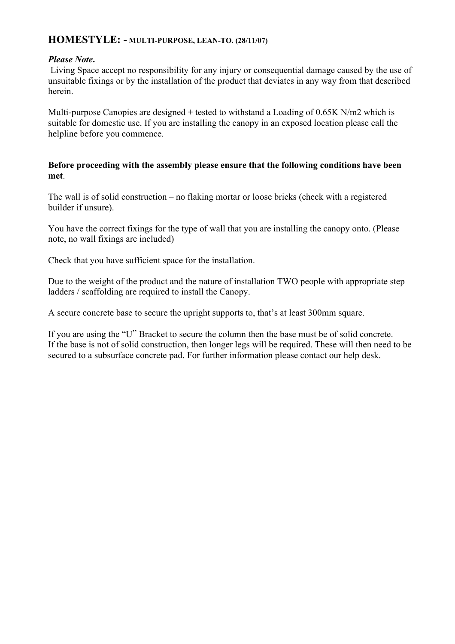## **HOMESTYLE: - MULTI-PURPOSE, LEAN-TO. (28/11/07)**

### *Please Note***.**

 Living Space accept no responsibility for any injury or consequential damage caused by the use of unsuitable fixings or by the installation of the product that deviates in any way from that described herein.

Multi-purpose Canopies are designed + tested to withstand a Loading of 0.65K N/m2 which is suitable for domestic use. If you are installing the canopy in an exposed location please call the helpline before you commence.

### **Before proceeding with the assembly please ensure that the following conditions have been met**.

The wall is of solid construction – no flaking mortar or loose bricks (check with a registered builder if unsure).

You have the correct fixings for the type of wall that you are installing the canopy onto. (Please note, no wall fixings are included)

Check that you have sufficient space for the installation.

Due to the weight of the product and the nature of installation TWO people with appropriate step ladders / scaffolding are required to install the Canopy.

A secure concrete base to secure the upright supports to, that's at least 300mm square.

If you are using the "U" Bracket to secure the column then the base must be of solid concrete. If the base is not of solid construction, then longer legs will be required. These will then need to be secured to a subsurface concrete pad. For further information please contact our help desk.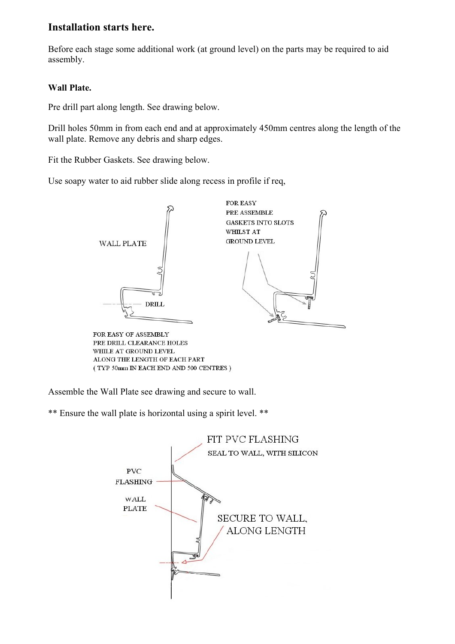# **Installation starts here.**

Before each stage some additional work (at ground level) on the parts may be required to aid assembly.

### **Wall Plate.**

Pre drill part along length. See drawing below.

Drill holes 50mm in from each end and at approximately 450mm centres along the length of the wall plate. Remove any debris and sharp edges.

Fit the Rubber Gaskets. See drawing below.

Use soapy water to aid rubber slide along recess in profile if req,



PRE DRILL CLEARANCE HOLES WHILE AT GROUND LEVEL ALONG THE LENGTH OF EACH PART (TYP 50mm IN EACH END AND 500 CENTRES)

Assemble the Wall Plate see drawing and secure to wall.

\*\* Ensure the wall plate is horizontal using a spirit level. \*\*

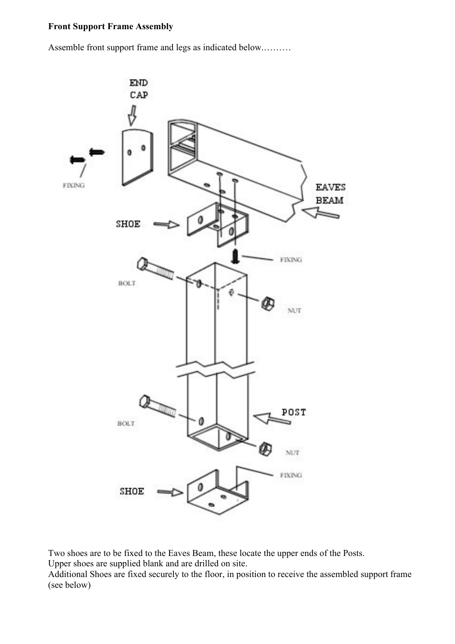### **Front Support Frame Assembly**

Assemble front support frame and legs as indicated below.………



Two shoes are to be fixed to the Eaves Beam, these locate the upper ends of the Posts. Upper shoes are supplied blank and are drilled on site.

Additional Shoes are fixed securely to the floor, in position to receive the assembled support frame (see below)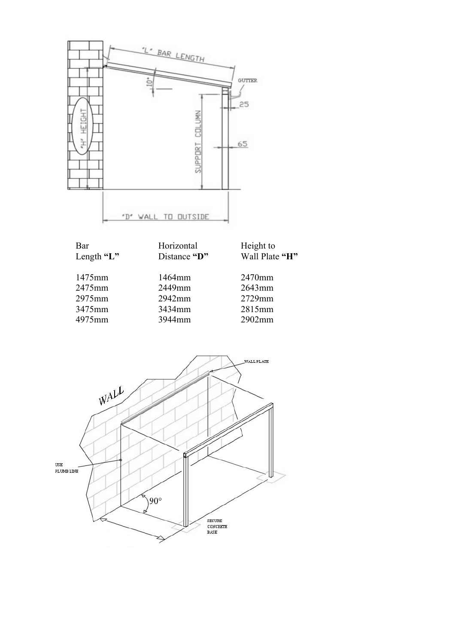

| Length $"L"$ | Distance "D" | Wall Plate "H" |
|--------------|--------------|----------------|
| 1475mm       | 1464mm       | 2470mm         |
| 2475mm       | 2449mm       | $2643$ mm      |
| 2975mm       | 2942mm       | 2729mm         |
| 3475mm       | 3434mm       | 2815mm         |
| 4975mm       | 3944mm       | $2902$ mm      |
|              |              |                |

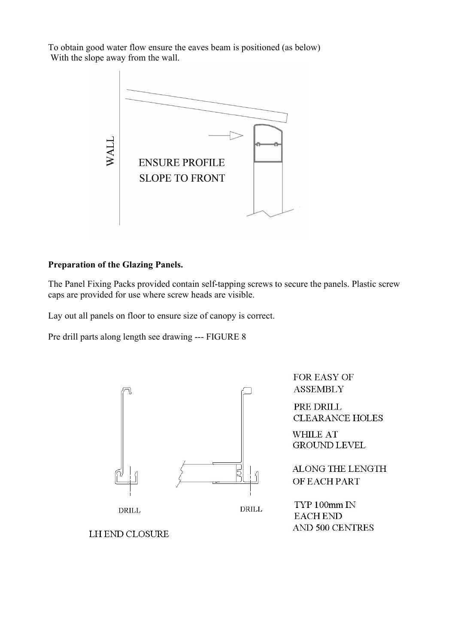To obtain good water flow ensure the eaves beam is positioned (as below) With the slope away from the wall.



### **Preparation of the Glazing Panels.**

The Panel Fixing Packs provided contain self-tapping screws to secure the panels. Plastic screw caps are provided for use where screw heads are visible.

Lay out all panels on floor to ensure size of canopy is correct.

Pre drill parts along length see drawing --- FIGURE 8



**LH END CLOSURE** 

FOR EASY OF **ASSEMBLY** 

PRE DRILL **CLEARANCE HOLES** 

**WHILE AT** GROUND LEVEL

ALONG THE LENGTH OF EACH PART

TYP 100mm IN **EACH END AND 500 CENTRES**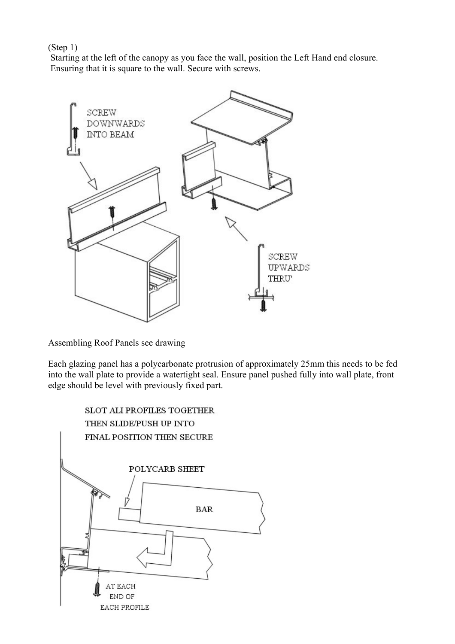(Step 1)

 Starting at the left of the canopy as you face the wall, position the Left Hand end closure. Ensuring that it is square to the wall. Secure with screws.



Assembling Roof Panels see drawing

Each glazing panel has a polycarbonate protrusion of approximately 25mm this needs to be fed into the wall plate to provide a watertight seal. Ensure panel pushed fully into wall plate, front edge should be level with previously fixed part.

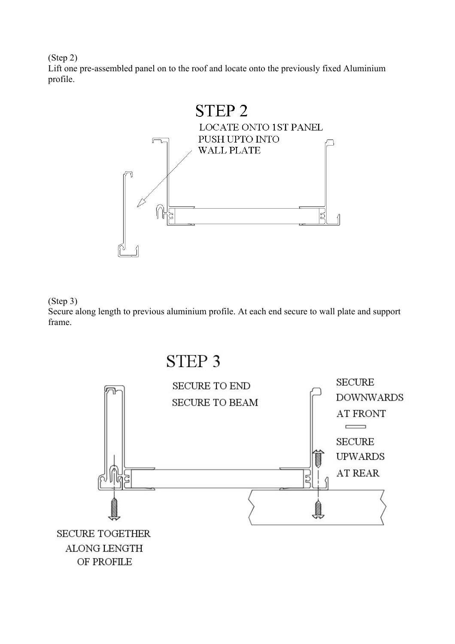(Step 2)

Lift one pre-assembled panel on to the roof and locate onto the previously fixed Aluminium profile.





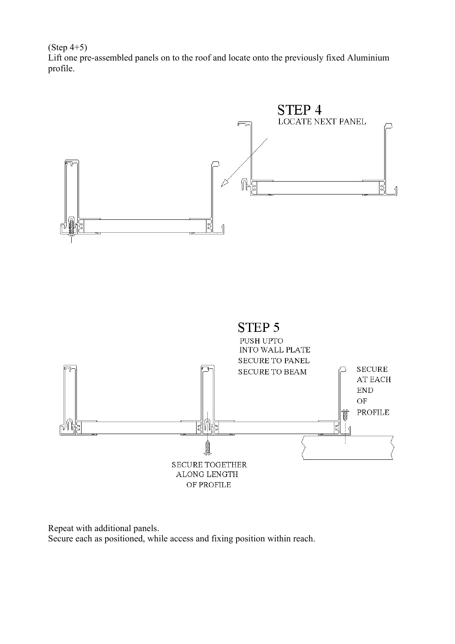(Step 4+5)

Lift one pre-assembled panels on to the roof and locate onto the previously fixed Aluminium profile.



Repeat with additional panels. Secure each as positioned, while access and fixing position within reach.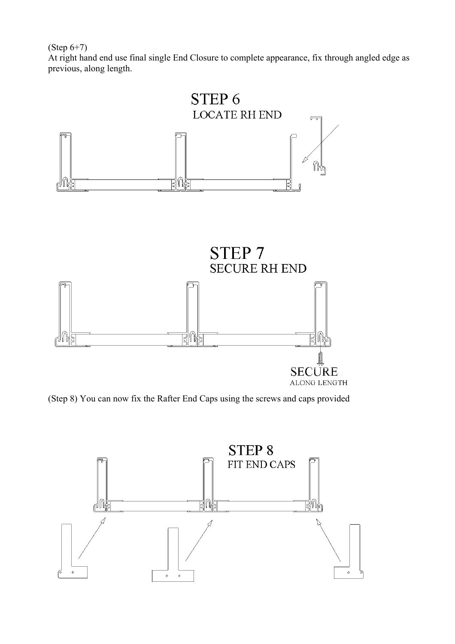(Step 6+7)

At right hand end use final single End Closure to complete appearance, fix through angled edge as previous, along length.



(Step 8) You can now fix the Rafter End Caps using the screws and caps provided